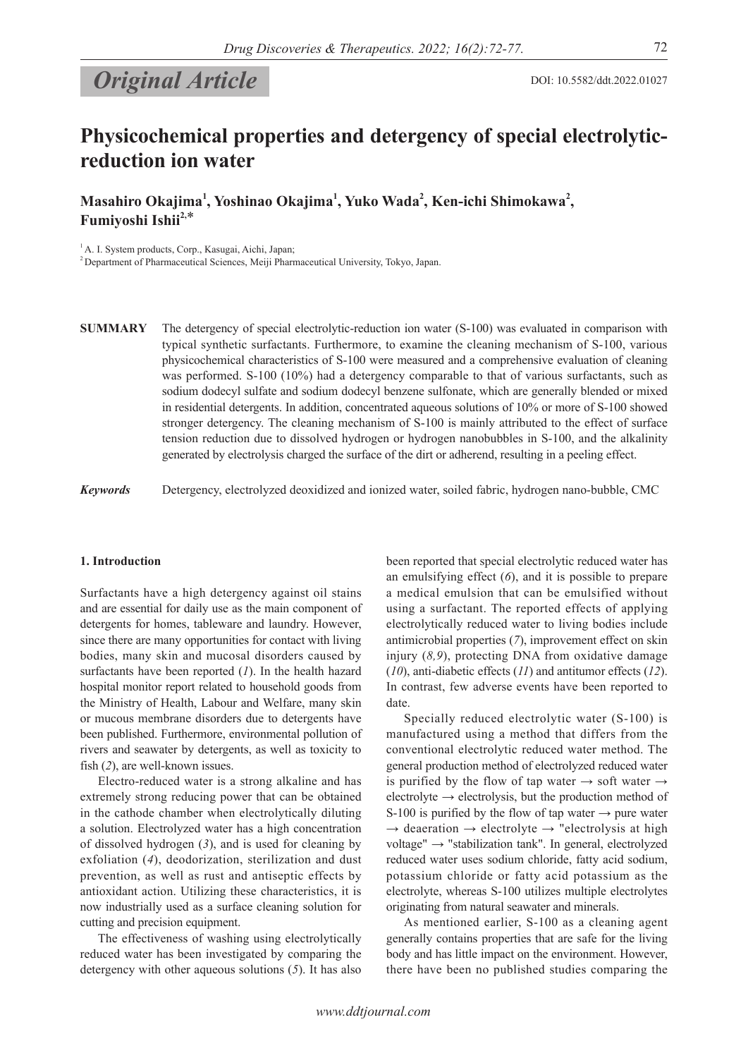# **Original Article** DOI: 10.5582/ddt.2022.01027

# **Physicochemical properties and detergency of special electrolyticreduction ion water**

**Masahiro Okajima1 , Yoshinao Okajima1 , Yuko Wada<sup>2</sup> , Ken-ichi Shimokawa2 , Fumiyoshi Ishii2,**\*

1 A. I. System products, Corp., Kasugai, Aichi, Japan;

2 Department of Pharmaceutical Sciences, Meiji Pharmaceutical University, Tokyo, Japan.

**SUMMARY** The detergency of special electrolytic-reduction ion water (S-100) was evaluated in comparison with typical synthetic surfactants. Furthermore, to examine the cleaning mechanism of S-100, various physicochemical characteristics of S-100 were measured and a comprehensive evaluation of cleaning was performed. S-100 (10%) had a detergency comparable to that of various surfactants, such as sodium dodecyl sulfate and sodium dodecyl benzene sulfonate, which are generally blended or mixed in residential detergents. In addition, concentrated aqueous solutions of 10% or more of S-100 showed stronger detergency. The cleaning mechanism of S-100 is mainly attributed to the effect of surface tension reduction due to dissolved hydrogen or hydrogen nanobubbles in S-100, and the alkalinity generated by electrolysis charged the surface of the dirt or adherend, resulting in a peeling effect.

*Keywords* Detergency, electrolyzed deoxidized and ionized water, soiled fabric, hydrogen nano-bubble, CMC

# **1. Introduction**

Surfactants have a high detergency against oil stains and are essential for daily use as the main component of detergents for homes, tableware and laundry. However, since there are many opportunities for contact with living bodies, many skin and mucosal disorders caused by surfactants have been reported (*1*). In the health hazard hospital monitor report related to household goods from the Ministry of Health, Labour and Welfare, many skin or mucous membrane disorders due to detergents have been published. Furthermore, environmental pollution of rivers and seawater by detergents, as well as toxicity to fish (*2*), are well-known issues.

Electro-reduced water is a strong alkaline and has extremely strong reducing power that can be obtained in the cathode chamber when electrolytically diluting a solution. Electrolyzed water has a high concentration of dissolved hydrogen (*3*), and is used for cleaning by exfoliation (*4*), deodorization, sterilization and dust prevention, as well as rust and antiseptic effects by antioxidant action. Utilizing these characteristics, it is now industrially used as a surface cleaning solution for cutting and precision equipment.

The effectiveness of washing using electrolytically reduced water has been investigated by comparing the detergency with other aqueous solutions (*5*). It has also been reported that special electrolytic reduced water has an emulsifying effect (*6*), and it is possible to prepare a medical emulsion that can be emulsified without using a surfactant. The reported effects of applying electrolytically reduced water to living bodies include antimicrobial properties (*7*), improvement effect on skin injury (*8,9*), protecting DNA from oxidative damage (*10*), anti-diabetic effects (*11*) and antitumor effects (*12*). In contrast, few adverse events have been reported to date.

Specially reduced electrolytic water (S-100) is manufactured using a method that differs from the conventional electrolytic reduced water method. The general production method of electrolyzed reduced water is purified by the flow of tap water  $\rightarrow$  soft water  $\rightarrow$ electrolyte  $\rightarrow$  electrolysis, but the production method of S-100 is purified by the flow of tap water  $\rightarrow$  pure water  $\rightarrow$  deaeration  $\rightarrow$  electrolyte  $\rightarrow$  "electrolysis at high voltage" → "stabilization tank". In general, electrolyzed reduced water uses sodium chloride, fatty acid sodium, potassium chloride or fatty acid potassium as the electrolyte, whereas S-100 utilizes multiple electrolytes originating from natural seawater and minerals.

As mentioned earlier, S-100 as a cleaning agent generally contains properties that are safe for the living body and has little impact on the environment. However, there have been no published studies comparing the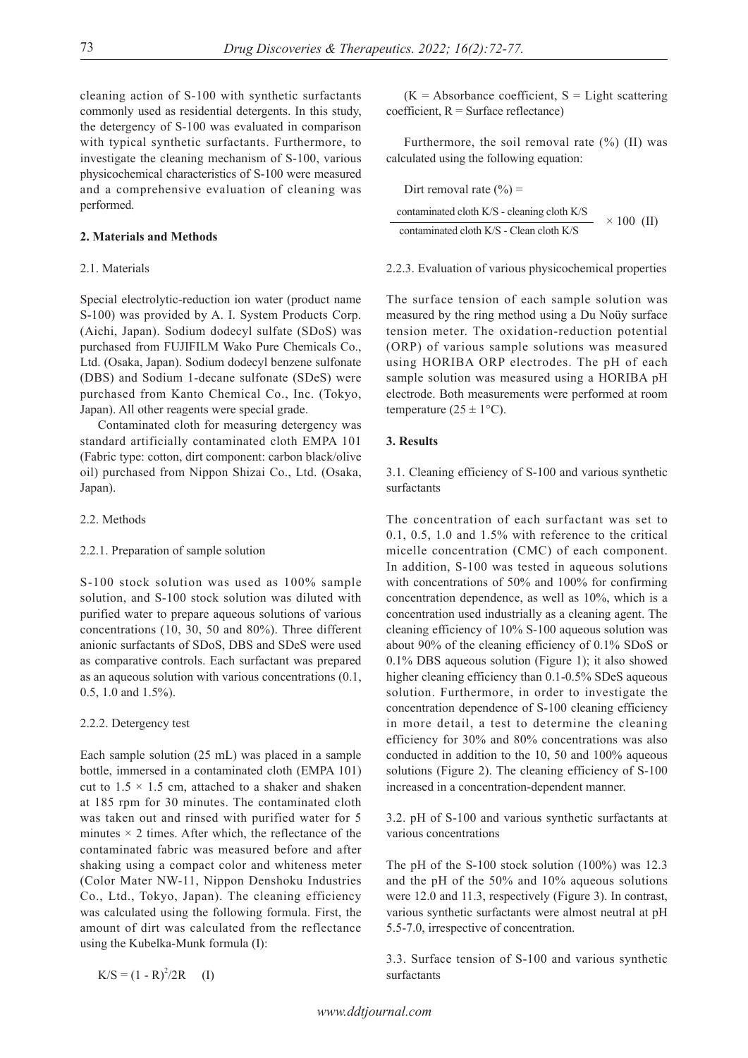cleaning action of S-100 with synthetic surfactants commonly used as residential detergents. In this study, the detergency of S-100 was evaluated in comparison with typical synthetic surfactants. Furthermore, to investigate the cleaning mechanism of S-100, various physicochemical characteristics of S-100 were measured and a comprehensive evaluation of cleaning was performed.

# **2. Materials and Methods**

# 2.1. Materials

Special electrolytic-reduction ion water (product name S-100) was provided by A. I. System Products Corp. (Aichi, Japan). Sodium dodecyl sulfate (SDoS) was purchased from FUJIFILM Wako Pure Chemicals Co., Ltd. (Osaka, Japan). Sodium dodecyl benzene sulfonate (DBS) and Sodium 1-decane sulfonate (SDeS) were purchased from Kanto Chemical Co., Inc. (Tokyo, Japan). All other reagents were special grade.

Contaminated cloth for measuring detergency was standard artificially contaminated cloth EMPA 101 (Fabric type: cotton, dirt component: carbon black/olive oil) purchased from Nippon Shizai Co., Ltd. (Osaka, Japan).

# 2.2. Methods

#### 2.2.1. Preparation of sample solution

S-100 stock solution was used as 100% sample solution, and S-100 stock solution was diluted with purified water to prepare aqueous solutions of various concentrations (10, 30, 50 and 80%). Three different anionic surfactants of SDoS, DBS and SDeS were used as comparative controls. Each surfactant was prepared as an aqueous solution with various concentrations (0.1, 0.5, 1.0 and 1.5%).

# 2.2.2. Detergency test

Each sample solution (25 mL) was placed in a sample bottle, immersed in a contaminated cloth (EMPA 101) cut to  $1.5 \times 1.5$  cm, attached to a shaker and shaken at 185 rpm for 30 minutes. The contaminated cloth was taken out and rinsed with purified water for 5 minutes  $\times$  2 times. After which, the reflectance of the contaminated fabric was measured before and after shaking using a compact color and whiteness meter (Color Mater NW-11, Nippon Denshoku Industries Co., Ltd., Tokyo, Japan). The cleaning efficiency was calculated using the following formula. First, the amount of dirt was calculated from the reflectance using the Kubelka-Munk formula (I):

 $K/S = (1 - R)^{2}/2R$  (I)

 $(K = Absorbance coefficient, S = Light scattering)$  $coefficient, R = Surface reflectance)$ 

Furthermore, the soil removal rate (%) (II) was calculated using the following equation:

Dirt removal rate  $(\% )$  =

$$
\frac{\text{contaminated cloth K/S - cleaning cloth K/S}}{\text{contaminated cloth K/S - Clean cloth K/S}} \times 100 \text{ (II)}
$$

#### 2.2.3. Evaluation of various physicochemical properties

The surface tension of each sample solution was measured by the ring method using a Du Noüy surface tension meter. The oxidation-reduction potential (ORP) of various sample solutions was measured using HORIBA ORP electrodes. The pH of each sample solution was measured using a HORIBA pH electrode. Both measurements were performed at room temperature ( $25 \pm 1$ °C).

# **3. Results**

3.1. Cleaning efficiency of S-100 and various synthetic surfactants

The concentration of each surfactant was set to 0.1, 0.5, 1.0 and 1.5% with reference to the critical micelle concentration (CMC) of each component. In addition, S-100 was tested in aqueous solutions with concentrations of 50% and 100% for confirming concentration dependence, as well as 10%, which is a concentration used industrially as a cleaning agent. The cleaning efficiency of 10% S-100 aqueous solution was about 90% of the cleaning efficiency of 0.1% SDoS or 0.1% DBS aqueous solution (Figure 1); it also showed higher cleaning efficiency than 0.1-0.5% SDeS aqueous solution. Furthermore, in order to investigate the concentration dependence of S-100 cleaning efficiency in more detail, a test to determine the cleaning efficiency for 30% and 80% concentrations was also conducted in addition to the 10, 50 and 100% aqueous solutions (Figure 2). The cleaning efficiency of S-100 increased in a concentration-dependent manner.

3.2. pH of S-100 and various synthetic surfactants at various concentrations

The pH of the S-100 stock solution (100%) was 12.3 and the pH of the 50% and 10% aqueous solutions were 12.0 and 11.3, respectively (Figure 3). In contrast, various synthetic surfactants were almost neutral at pH 5.5-7.0, irrespective of concentration.

3.3. Surface tension of S-100 and various synthetic surfactants

*www.ddtjournal.com*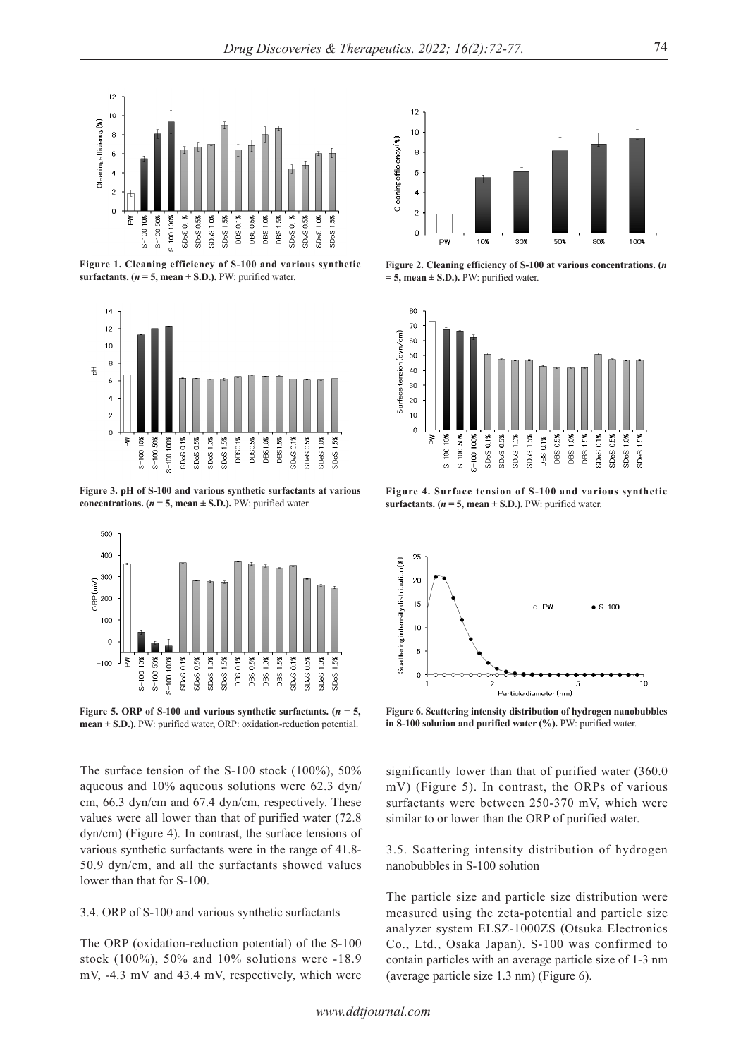

**Figure 1. Cleaning efficiency of S-100 and various synthetic surfactants.**  $(n = 5$ , mean  $\pm$  S.D.). PW: purified water.



**Figure 3. pH of S-100 and various synthetic surfactants at various concentrations.**  $(n = 5, \text{mean} \pm \text{S.D.})$ . PW: purified water.



Figure 5. ORP of S-100 and various synthetic surfactants.  $(n = 5,$ **mean ± S.D.).** PW: purified water, ORP: oxidation-reduction potential.

The surface tension of the S-100 stock (100%), 50% aqueous and 10% aqueous solutions were 62.3 dyn/ cm, 66.3 dyn/cm and 67.4 dyn/cm, respectively. These values were all lower than that of purified water (72.8 dyn/cm) (Figure 4). In contrast, the surface tensions of various synthetic surfactants were in the range of 41.8- 50.9 dyn/cm, and all the surfactants showed values lower than that for S-100.

# 3.4. ORP of S-100 and various synthetic surfactants

The ORP (oxidation-reduction potential) of the S-100 stock (100%), 50% and 10% solutions were -18.9 mV, -4.3 mV and 43.4 mV, respectively, which were



**Figure 2. Cleaning efficiency of S-100 at various concentrations. (***n*  **= 5, mean ± S.D.).** PW: purified water.



**Figure 4. Surface tension of S-100 and various synthetic surfactants. (** $n = 5$ **, mean**  $\pm$  **S.D.).** PW: purified water.



**Figure 6. Scattering intensity distribution of hydrogen nanobubbles in S-100 solution and purified water (%).** PW: purified water.

significantly lower than that of purified water (360.0 mV) (Figure 5). In contrast, the ORPs of various surfactants were between 250-370 mV, which were similar to or lower than the ORP of purified water.

3.5. Scattering intensity distribution of hydrogen nanobubbles in S-100 solution

The particle size and particle size distribution were measured using the zeta-potential and particle size analyzer system ELSZ-1000ZS (Otsuka Electronics Co., Ltd., Osaka Japan). S-100 was confirmed to contain particles with an average particle size of 1-3 nm (average particle size 1.3 nm) (Figure 6).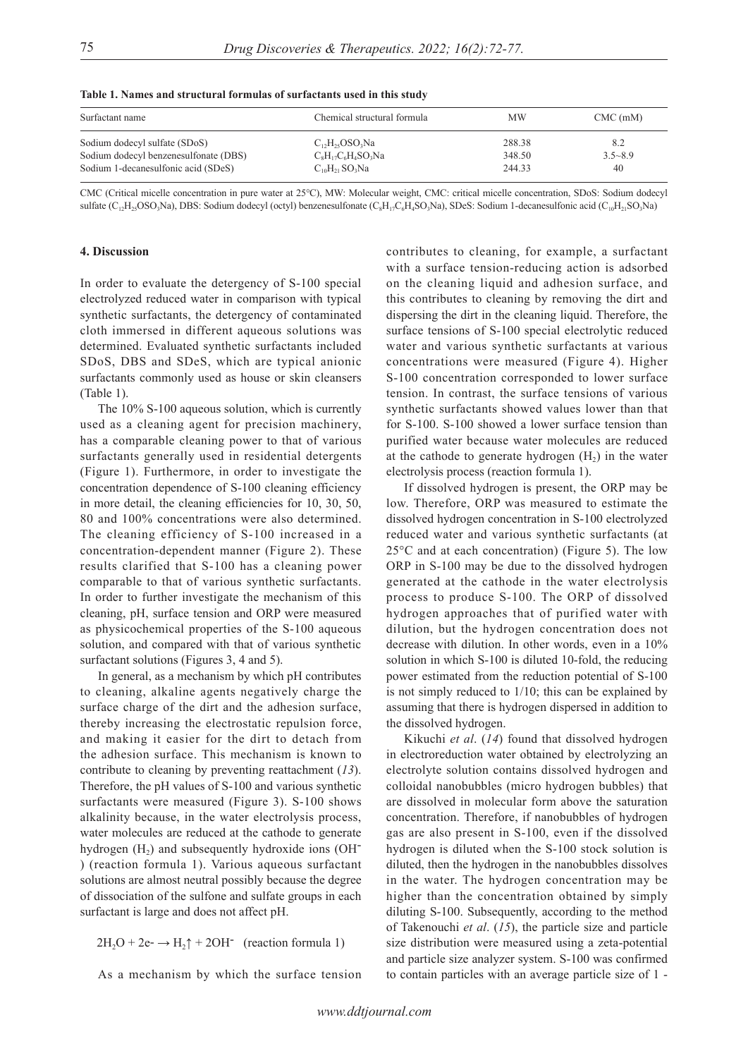| Table 1. Names and structural formulas of surfactants used in this study |  |
|--------------------------------------------------------------------------|--|
|--------------------------------------------------------------------------|--|

| Surfactant name                       | Chemical structural formula                            | <b>MW</b> | $CMC$ (mM)  |
|---------------------------------------|--------------------------------------------------------|-----------|-------------|
| Sodium dodecyl sulfate (SDoS)         | $C_1$ <sub>2</sub> H <sub>25</sub> OSO <sub>3</sub> Na | 288.38    | 8.2         |
| Sodium dodecyl benzenesulfonate (DBS) | $C_8H_{17}C_6H_4SO_3Na$                                | 348.50    | $3.5 - 8.9$ |
| Sodium 1-decanesulfonic acid (SDeS)   | $C_{10}H_{21}SO_3Na$                                   | 244.33    | 40          |

CMC (Critical micelle concentration in pure water at 25℃), MW: Molecular weight, CMC: critical micelle concentration, SDoS: Sodium dodecyl sulfate ( $C_{12}H_{25}OSO_3Na$ ), DBS: Sodium dodecyl (octyl) benzenesulfonate ( $C_8H_{17}C_6H_4SO_3Na$ ), SDeS: Sodium 1-decanesulfonic acid ( $C_{10}H_{21}SO_3Na$ )

# **4. Discussion**

In order to evaluate the detergency of S-100 special electrolyzed reduced water in comparison with typical synthetic surfactants, the detergency of contaminated cloth immersed in different aqueous solutions was determined. Evaluated synthetic surfactants included SDoS, DBS and SDeS, which are typical anionic surfactants commonly used as house or skin cleansers (Table 1).

The 10% S-100 aqueous solution, which is currently used as a cleaning agent for precision machinery, has a comparable cleaning power to that of various surfactants generally used in residential detergents (Figure 1). Furthermore, in order to investigate the concentration dependence of S-100 cleaning efficiency in more detail, the cleaning efficiencies for 10, 30, 50, 80 and 100% concentrations were also determined. The cleaning efficiency of S-100 increased in a concentration-dependent manner (Figure 2). These results clarified that S-100 has a cleaning power comparable to that of various synthetic surfactants. In order to further investigate the mechanism of this cleaning, pH, surface tension and ORP were measured as physicochemical properties of the S-100 aqueous solution, and compared with that of various synthetic surfactant solutions (Figures 3, 4 and 5).

In general, as a mechanism by which pH contributes to cleaning, alkaline agents negatively charge the surface charge of the dirt and the adhesion surface, thereby increasing the electrostatic repulsion force, and making it easier for the dirt to detach from the adhesion surface. This mechanism is known to contribute to cleaning by preventing reattachment (*13*). Therefore, the pH values of S-100 and various synthetic surfactants were measured (Figure 3). S-100 shows alkalinity because, in the water electrolysis process, water molecules are reduced at the cathode to generate hydrogen  $(H<sub>2</sub>)$  and subsequently hydroxide ions  $(OH<sub>-</sub>)$ ) (reaction formula 1). Various aqueous surfactant solutions are almost neutral possibly because the degree of dissociation of the sulfone and sulfate groups in each surfactant is large and does not affect pH.

 $2H_2O + 2e^- \rightarrow H_2 \uparrow + 2OH^-$  (reaction formula 1)

As a mechanism by which the surface tension

contributes to cleaning, for example, a surfactant with a surface tension-reducing action is adsorbed on the cleaning liquid and adhesion surface, and this contributes to cleaning by removing the dirt and dispersing the dirt in the cleaning liquid. Therefore, the surface tensions of S-100 special electrolytic reduced water and various synthetic surfactants at various concentrations were measured (Figure 4). Higher S-100 concentration corresponded to lower surface tension. In contrast, the surface tensions of various synthetic surfactants showed values lower than that for S-100. S-100 showed a lower surface tension than purified water because water molecules are reduced at the cathode to generate hydrogen  $(H<sub>2</sub>)$  in the water electrolysis process (reaction formula 1).

If dissolved hydrogen is present, the ORP may be low. Therefore, ORP was measured to estimate the dissolved hydrogen concentration in S-100 electrolyzed reduced water and various synthetic surfactants (at  $25^{\circ}$ C and at each concentration) (Figure 5). The low ORP in S-100 may be due to the dissolved hydrogen generated at the cathode in the water electrolysis process to produce S-100. The ORP of dissolved hydrogen approaches that of purified water with dilution, but the hydrogen concentration does not decrease with dilution. In other words, even in a 10% solution in which S-100 is diluted 10-fold, the reducing power estimated from the reduction potential of S-100 is not simply reduced to 1/10; this can be explained by assuming that there is hydrogen dispersed in addition to the dissolved hydrogen.

Kikuchi *et al*. (*14*) found that dissolved hydrogen in electroreduction water obtained by electrolyzing an electrolyte solution contains dissolved hydrogen and colloidal nanobubbles (micro hydrogen bubbles) that are dissolved in molecular form above the saturation concentration. Therefore, if nanobubbles of hydrogen gas are also present in S-100, even if the dissolved hydrogen is diluted when the S-100 stock solution is diluted, then the hydrogen in the nanobubbles dissolves in the water. The hydrogen concentration may be higher than the concentration obtained by simply diluting S-100. Subsequently, according to the method of Takenouchi *et al*. (*15*), the particle size and particle size distribution were measured using a zeta-potential and particle size analyzer system. S-100 was confirmed to contain particles with an average particle size of 1 -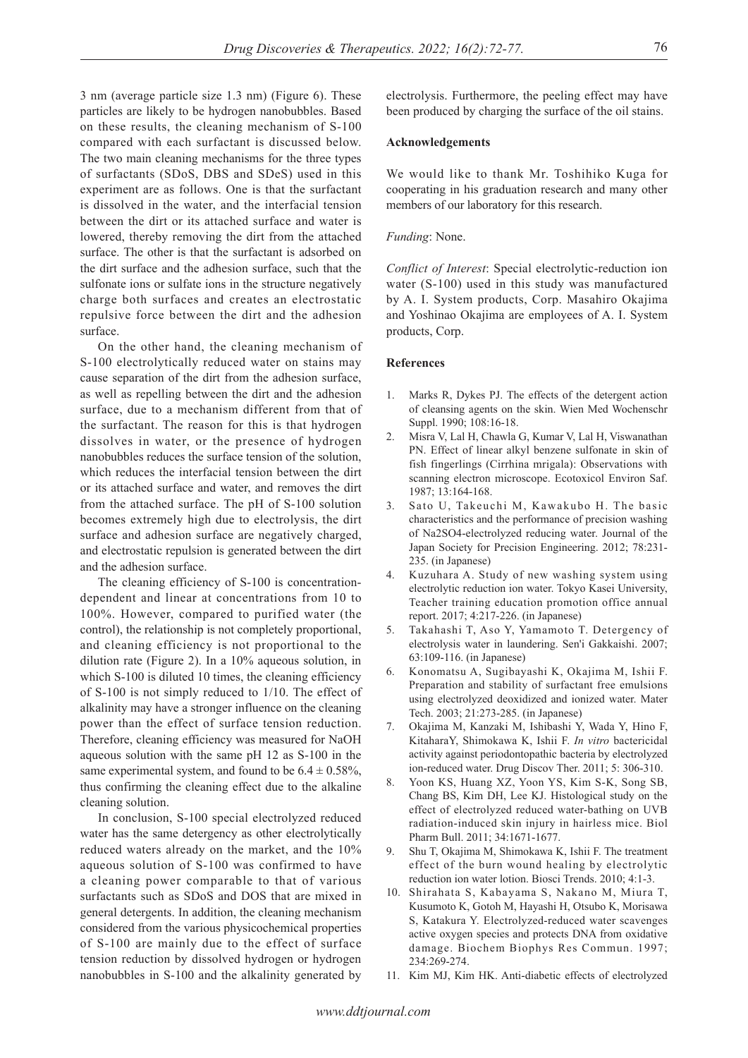3 nm (average particle size 1.3 nm) (Figure 6). These particles are likely to be hydrogen nanobubbles. Based on these results, the cleaning mechanism of S-100 compared with each surfactant is discussed below. The two main cleaning mechanisms for the three types of surfactants (SDoS, DBS and SDeS) used in this experiment are as follows. One is that the surfactant is dissolved in the water, and the interfacial tension between the dirt or its attached surface and water is lowered, thereby removing the dirt from the attached surface. The other is that the surfactant is adsorbed on the dirt surface and the adhesion surface, such that the sulfonate ions or sulfate ions in the structure negatively charge both surfaces and creates an electrostatic repulsive force between the dirt and the adhesion surface.

On the other hand, the cleaning mechanism of S-100 electrolytically reduced water on stains may cause separation of the dirt from the adhesion surface, as well as repelling between the dirt and the adhesion surface, due to a mechanism different from that of the surfactant. The reason for this is that hydrogen dissolves in water, or the presence of hydrogen nanobubbles reduces the surface tension of the solution, which reduces the interfacial tension between the dirt or its attached surface and water, and removes the dirt from the attached surface. The pH of S-100 solution becomes extremely high due to electrolysis, the dirt surface and adhesion surface are negatively charged, and electrostatic repulsion is generated between the dirt and the adhesion surface.

The cleaning efficiency of S-100 is concentrationdependent and linear at concentrations from 10 to 100%. However, compared to purified water (the control), the relationship is not completely proportional, and cleaning efficiency is not proportional to the dilution rate (Figure 2). In a 10% aqueous solution, in which S-100 is diluted 10 times, the cleaning efficiency of S-100 is not simply reduced to 1/10. The effect of alkalinity may have a stronger influence on the cleaning power than the effect of surface tension reduction. Therefore, cleaning efficiency was measured for NaOH aqueous solution with the same pH 12 as S-100 in the same experimental system, and found to be  $6.4 \pm 0.58\%,$ thus confirming the cleaning effect due to the alkaline cleaning solution.

In conclusion, S-100 special electrolyzed reduced water has the same detergency as other electrolytically reduced waters already on the market, and the 10% aqueous solution of S-100 was confirmed to have a cleaning power comparable to that of various surfactants such as SDoS and DOS that are mixed in general detergents. In addition, the cleaning mechanism considered from the various physicochemical properties of S-100 are mainly due to the effect of surface tension reduction by dissolved hydrogen or hydrogen nanobubbles in S-100 and the alkalinity generated by electrolysis. Furthermore, the peeling effect may have been produced by charging the surface of the oil stains.

# **Acknowledgements**

We would like to thank Mr. Toshihiko Kuga for cooperating in his graduation research and many other members of our laboratory for this research.

# *Funding*: None.

*Conflict of Interest*: Special electrolytic-reduction ion water (S-100) used in this study was manufactured by A. I. System products, Corp. Masahiro Okajima and Yoshinao Okajima are employees of A. I. System products, Corp.

#### **References**

- 1. Marks R, Dykes PJ. The effects of the detergent action of cleansing agents on the skin. Wien Med Wochenschr Suppl. 1990; 108:16-18.
- 2. Misra V, Lal H, Chawla G, Kumar V, Lal H, Viswanathan PN. Effect of linear alkyl benzene sulfonate in skin of fish fingerlings (Cirrhina mrigala): Observations with scanning electron microscope. Ecotoxicol Environ Saf. 1987; 13:164-168.
- 3. Sato U, Takeuchi M, Kawakubo H. The basic characteristics and the performance of precision washing of Na2SO4-electrolyzed reducing water. Journal of the Japan Society for Precision Engineering. 2012; 78:231- 235. (in Japanese)
- 4. Kuzuhara A. Study of new washing system using electrolytic reduction ion water. Tokyo Kasei University, Teacher training education promotion office annual report. 2017; 4:217-226. (in Japanese)
- 5. Takahashi T, Aso Y, Yamamoto T. Detergency of electrolysis water in laundering. Sen'i Gakkaishi. 2007; 63:109-116. (in Japanese)
- 6. Konomatsu A, Sugibayashi K, Okajima M, Ishii F. Preparation and stability of surfactant free emulsions using electrolyzed deoxidized and ionized water. Mater Tech. 2003; 21:273-285. (in Japanese)
- 7. Okajima M, Kanzaki M, Ishibashi Y, Wada Y, Hino F, KitaharaY, Shimokawa K, Ishii F. *In vitro* bactericidal activity against periodontopathic bacteria by electrolyzed ion-reduced water. Drug Discov Ther. 2011; 5: 306-310.
- Yoon KS, Huang XZ, Yoon YS, Kim S-K, Song SB, Chang BS, Kim DH, Lee KJ. Histological study on the effect of electrolyzed reduced water-bathing on UVB radiation-induced skin injury in hairless mice. Biol Pharm Bull. 2011; 34:1671-1677.
- 9. Shu T, Okajima M, Shimokawa K, Ishii F. The treatment effect of the burn wound healing by electrolytic reduction ion water lotion. Biosci Trends. 2010; 4:1-3.
- 10. Shirahata S, Kabayama S, Nakano M, Miura T, Kusumoto K, Gotoh M, Hayashi H, Otsubo K, Morisawa S, Katakura Y. Electrolyzed-reduced water scavenges active oxygen species and protects DNA from oxidative damage. Biochem Biophys Res Commun. 1997; 234:269-274.
- 11. Kim MJ, Kim HK. Anti-diabetic effects of electrolyzed